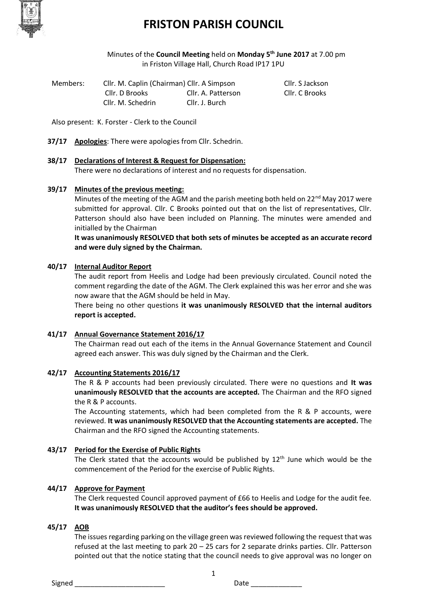

# **FRISTON PARISH COUNCIL**

Minutes of the **Council Meeting** held on **Monday 5th June 2017** at 7.00 pm in Friston Village Hall, Church Road IP17 1PU

| Members: | Cllr. M. Caplin (Chairman) Cllr. A Simpson |                    | Cllr. S Jackson |
|----------|--------------------------------------------|--------------------|-----------------|
|          | Cllr. D Brooks                             | Cllr. A. Patterson | Cllr. C Brooks  |
|          | Cllr. M. Schedrin                          | Cllr. J. Burch     |                 |

Also present: K. Forster - Clerk to the Council

- **37/17 Apologies**: There were apologies from Cllr. Schedrin.
- **38/17 Declarations of Interest & Request for Dispensation:**

There were no declarations of interest and no requests for dispensation.

#### **39/17 Minutes of the previous meeting:**

Minutes of the meeting of the AGM and the parish meeting both held on  $22<sup>nd</sup>$  May 2017 were submitted for approval. Cllr. C Brooks pointed out that on the list of representatives, Cllr. Patterson should also have been included on Planning. The minutes were amended and initialled by the Chairman

**It was unanimously RESOLVED that both sets of minutes be accepted as an accurate record and were duly signed by the Chairman.**

## **40/17 Internal Auditor Report**

The audit report from Heelis and Lodge had been previously circulated. Council noted the comment regarding the date of the AGM. The Clerk explained this was her error and she was now aware that the AGM should be held in May.

There being no other questions **it was unanimously RESOLVED that the internal auditors report is accepted.**

#### **41/17 Annual Governance Statement 2016/17**

The Chairman read out each of the items in the Annual Governance Statement and Council agreed each answer. This was duly signed by the Chairman and the Clerk.

#### **42/17 Accounting Statements 2016/17**

The R & P accounts had been previously circulated. There were no questions and **It was unanimously RESOLVED that the accounts are accepted.** The Chairman and the RFO signed the R & P accounts.

The Accounting statements, which had been completed from the R & P accounts, were reviewed. **It was unanimously RESOLVED that the Accounting statements are accepted.** The Chairman and the RFO signed the Accounting statements.

#### **43/17 Period for the Exercise of Public Rights**

The Clerk stated that the accounts would be published by  $12<sup>th</sup>$  June which would be the commencement of the Period for the exercise of Public Rights.

#### **44/17 Approve for Payment**

The Clerk requested Council approved payment of £66 to Heelis and Lodge for the audit fee. **It was unanimously RESOLVED that the auditor's fees should be approved.** 

## **45/17 AOB**

The issues regarding parking on the village green was reviewed following the request that was refused at the last meeting to park 20 – 25 cars for 2 separate drinks parties. Cllr. Patterson pointed out that the notice stating that the council needs to give approval was no longer on

1

Signed \_\_\_\_\_\_\_\_\_\_\_\_\_\_\_\_\_\_\_\_\_\_\_ Date \_\_\_\_\_\_\_\_\_\_\_\_\_